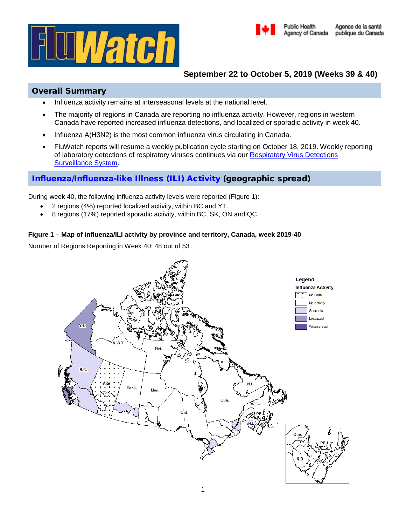



# **September 22 to October 5, 2019 (Weeks 39 & 40)**

# Overall Summary

- Influenza activity remains at interseasonal levels at the national level.
- The majority of regions in Canada are reporting no influenza activity. However, regions in western Canada have reported increased influenza detections, and localized or sporadic activity in week 40.
- Influenza A(H3N2) is the most common influenza virus circulating in Canada.
- FluWatch reports will resume a weekly publication cycle starting on October 18, 2019. Weekly reporting of laboratory detections of respiratory viruses continues via our Respiratory Virus Detections [Surveillance System.](https://www.canada.ca/en/public-health/services/surveillance/respiratory-virus-detections-canada.html)

# [Influenza/Influenza-like Illness \(ILI\) Activity](https://www.canada.ca/en/public-health/services/diseases/flu-influenza/influenza-surveillance/about-fluwatch.html#a2) (geographic spread)

During week 40, the following influenza activity levels were reported (Figure 1):

- 2 regions (4%) reported localized activity, within BC and YT.
- 8 regions (17%) reported sporadic activity, within BC, SK, ON and QC.

### **Figure 1 – Map of influenza/ILI activity by province and territory, Canada, week 2019-40**

Number of Regions Reporting in Week 40: 48 out of 53

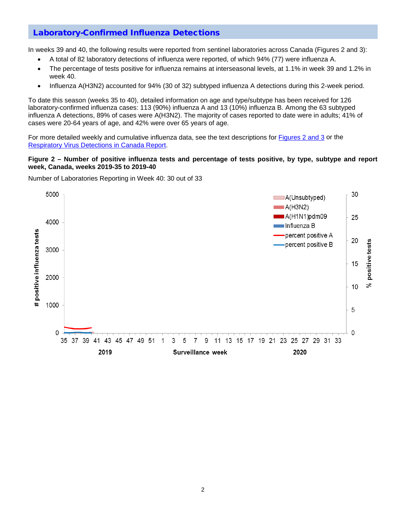## [Laboratory-Confirmed Influenza Detections](https://www.canada.ca/en/public-health/services/diseases/flu-influenza/influenza-surveillance/about-fluwatch.html#a3)

In weeks 39 and 40, the following results were reported from sentinel laboratories across Canada (Figures 2 and 3):

- A total of 82 laboratory detections of influenza were reported, of which 94% (77) were influenza A.
- The percentage of tests positive for influenza remains at interseasonal levels, at 1.1% in week 39 and 1.2% in week 40.
- Influenza A(H3N2) accounted for 94% (30 of 32) subtyped influenza A detections during this 2-week period.

To date this season (weeks 35 to 40), detailed information on age and type/subtype has been received for 126 laboratory-confirmed influenza cases: 113 (90%) influenza A and 13 (10%) influenza B. Among the 63 subtyped influenza A detections, 89% of cases were A(H3N2). The majority of cases reported to date were in adults; 41% of cases were 20-64 years of age, and 42% were over 65 years of age.

For more detailed weekly and cumulative influenza data, see the text descriptions for [Figures 2 and 3](https://www.canada.ca/en/public-health/services/diseases/flu-influenza/influenza-surveillance/weekly-influenza-reports.html) or the [Respiratory Virus Detections in Canada Report.](https://www.canada.ca/en/public-health/services/surveillance/respiratory-virus-detections-canada.html)

#### **Figure 2 – Number of positive influenza tests and percentage of tests positive, by type, subtype and report week, Canada, weeks 2019-35 to 2019-40**

Number of Laboratories Reporting in Week 40: 30 out of 33

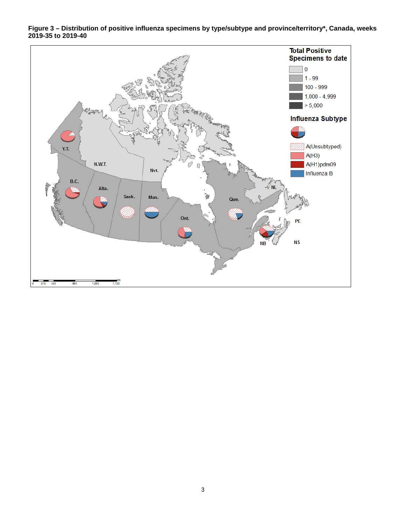

**Figure 3 – Distribution of positive influenza specimens by type/subtype and province/territory\*, Canada, weeks 2019-35 to 2019-40**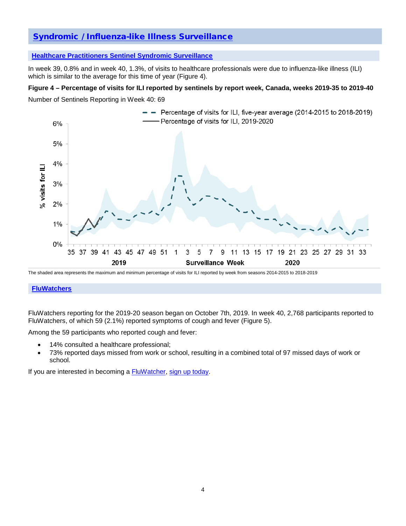# [Syndromic / Influenza-like Illness Surveillance](https://www.canada.ca/en/public-health/services/diseases/flu-influenza/influenza-surveillance/about-fluwatch.html#a4)

#### **[Healthcare Practitioners Sentinel Syndromic Surveillance](https://www.canada.ca/en/public-health/services/diseases/flu-influenza/influenza-surveillance/influenza-sentinel-recruiters.html)**

In week 39, 0.8% and in week 40, 1.3%, of visits to healthcare professionals were due to influenza-like illness (ILI) which is similar to the average for this time of year (Figure 4).

#### **Figure 4 – Percentage of visits for ILI reported by sentinels by report week, Canada, weeks 2019-35 to 2019-40**

Number of Sentinels Reporting in Week 40: 69



The shaded area represents the maximum and minimum percentage of visits for ILI reported by week from seasons 2014-2015 to 2018-2019

#### **[FluWatchers](https://www.canada.ca/en/public-health/services/diseases/flu-influenza/fluwatcher.html)**

FluWatchers reporting for the 2019-20 season began on October 7th, 2019. In week 40, 2,768 participants reported to FluWatchers, of which 59 (2.1%) reported symptoms of cough and fever (Figure 5).

Among the 59 participants who reported cough and fever:

- 14% consulted a healthcare professional;
- 73% reported days missed from work or school, resulting in a combined total of 97 missed days of work or school.

If you are interested in becoming a **FluWatcher**, [sign up today.](https://cnphi.canada.ca/fluWatcher/register)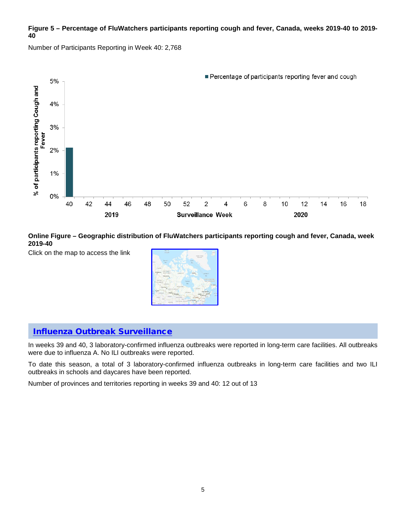### **Figure 5 – Percentage of FluWatchers participants reporting cough and fever, Canada, weeks 2019-40 to 2019- 40**

Number of Participants Reporting in Week 40: 2,768



**Online Figure – Geographic distribution of FluWatchers participants reporting cough and fever, Canada, week 2019-40**

Click on the map to access the link



## [Influenza Outbreak Surveillance](https://www.canada.ca/en/public-health/services/diseases/flu-influenza/influenza-surveillance/about-fluwatch.html#a5)

In weeks 39 and 40, 3 laboratory-confirmed influenza outbreaks were reported in long-term care facilities. All outbreaks were due to influenza A. No ILI outbreaks were reported.

To date this season, a total of 3 laboratory-confirmed influenza outbreaks in long-term care facilities and two ILI outbreaks in schools and daycares have been reported.

Number of provinces and territories reporting in weeks 39 and 40: 12 out of 13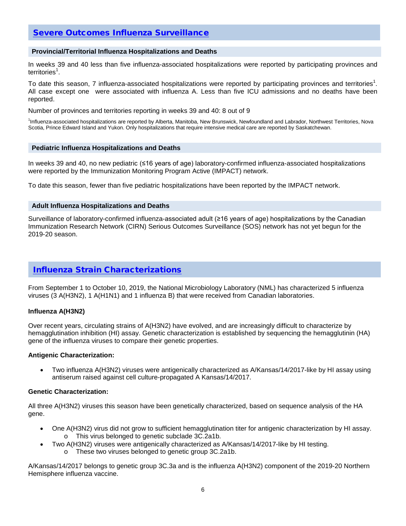## [Severe Outcomes Influenza Surveillance](https://www.canada.ca/en/public-health/services/diseases/flu-influenza/influenza-surveillance/about-fluwatch.html#a6)

#### **Provincial/Territorial Influenza Hospitalizations and Deaths**

In weeks 39 and 40 less than five influenza-associated hospitalizations were reported by participating provinces and territories<sup>1</sup>.

To date this season, 7 influenza-associated hospitalizations were reported by participating provinces and territories<sup>1</sup>. All case except one were associated with influenza A. Less than five ICU admissions and no deaths have been reported.

Number of provinces and territories reporting in weeks 39 and 40: 8 out of 9

1 Influenza-associated hospitalizations are reported by Alberta, Manitoba, New Brunswick, Newfoundland and Labrador, Northwest Territories, Nova Scotia, Prince Edward Island and Yukon. Only hospitalizations that require intensive medical care are reported by Saskatchewan.

#### **Pediatric Influenza Hospitalizations and Deaths**

In weeks 39 and 40, no new pediatric (≤16 years of age) laboratory-confirmed influenza-associated hospitalizations were reported by the Immunization Monitoring Program Active (IMPACT) network.

To date this season, fewer than five pediatric hospitalizations have been reported by the IMPACT network.

#### **Adult Influenza Hospitalizations and Deaths**

Surveillance of laboratory-confirmed influenza-associated adult (≥16 years of age) hospitalizations by the Canadian Immunization Research Network (CIRN) Serious Outcomes Surveillance (SOS) network has not yet begun for the 2019-20 season.

### [Influenza Strain Characterizations](https://www.canada.ca/en/public-health/services/diseases/flu-influenza/influenza-surveillance/about-fluwatch.html#a7)

From September 1 to October 10, 2019, the National Microbiology Laboratory (NML) has characterized 5 influenza viruses (3 A(H3N2), 1 A(H1N1) and 1 influenza B) that were received from Canadian laboratories.

#### **Influenza A(H3N2)**

Over recent years, circulating strains of A(H3N2) have evolved, and are increasingly difficult to characterize by hemagglutination inhibition (HI) assay. Genetic characterization is established by sequencing the hemagglutinin (HA) gene of the influenza viruses to compare their genetic properties.

#### **Antigenic Characterization:**

• Two influenza A(H3N2) viruses were antigenically characterized as A/Kansas/14/2017-like by HI assay using antiserum raised against cell culture-propagated A Kansas/14/2017.

#### **Genetic Characterization:**

All three A(H3N2) viruses this season have been genetically characterized, based on sequence analysis of the HA gene.

- One A(H3N2) virus did not grow to sufficient hemagglutination titer for antigenic characterization by HI assay. o This virus belonged to genetic subclade 3C.2a1b.
- Two A(H3N2) viruses were antigenically characterized as A/Kansas/14/2017-like by HI testing.
	- o These two viruses belonged to genetic group 3C.2a1b.

A/Kansas/14/2017 belongs to genetic group 3C.3a and is the influenza A(H3N2) component of the 2019-20 Northern Hemisphere influenza vaccine.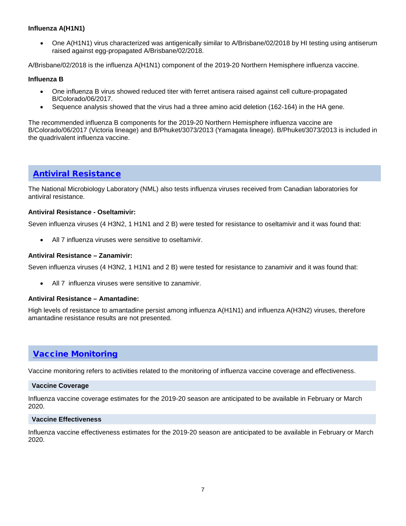### **Influenza A(H1N1)**

• One A(H1N1) virus characterized was antigenically similar to A/Brisbane/02/2018 by HI testing using antiserum raised against egg-propagated A/Brisbane/02/2018.

A/Brisbane/02/2018 is the influenza A(H1N1) component of the 2019-20 Northern Hemisphere influenza vaccine.

#### **Influenza B**

- One influenza B virus showed reduced titer with ferret antisera raised against cell culture-propagated B/Colorado/06/2017.
- Sequence analysis showed that the virus had a three amino acid deletion (162-164) in the HA gene.

The recommended influenza B components for the 2019-20 Northern Hemisphere influenza vaccine are B/Colorado/06/2017 (Victoria lineage) and B/Phuket/3073/2013 (Yamagata lineage). B/Phuket/3073/2013 is included in the quadrivalent influenza vaccine.

### [Antiviral Resistance](https://www.canada.ca/en/public-health/services/diseases/flu-influenza/influenza-surveillance/about-fluwatch.html#a7)

The National Microbiology Laboratory (NML) also tests influenza viruses received from Canadian laboratories for antiviral resistance.

#### **Antiviral Resistance - Oseltamivir:**

Seven influenza viruses (4 H3N2, 1 H1N1 and 2 B) were tested for resistance to oseltamivir and it was found that:

• All 7 influenza viruses were sensitive to oseltamivir.

#### **Antiviral Resistance – Zanamivir:**

Seven influenza viruses (4 H3N2, 1 H1N1 and 2 B) were tested for resistance to zanamivir and it was found that:

• All 7 influenza viruses were sensitive to zanamivir.

#### **Antiviral Resistance – Amantadine:**

High levels of resistance to amantadine persist among influenza A(H1N1) and influenza A(H3N2) viruses, therefore amantadine resistance results are not presented.

### [Vaccine Monitoring](https://www.canada.ca/en/public-health/services/diseases/flu-influenza/influenza-surveillance/about-fluwatch.html#a8)

Vaccine monitoring refers to activities related to the monitoring of influenza vaccine coverage and effectiveness.

#### **Vaccine Coverage**

Influenza vaccine coverage estimates for the 2019-20 season are anticipated to be available in February or March 2020.

#### **Vaccine Effectiveness**

Influenza vaccine effectiveness estimates for the 2019-20 season are anticipated to be available in February or March 2020.